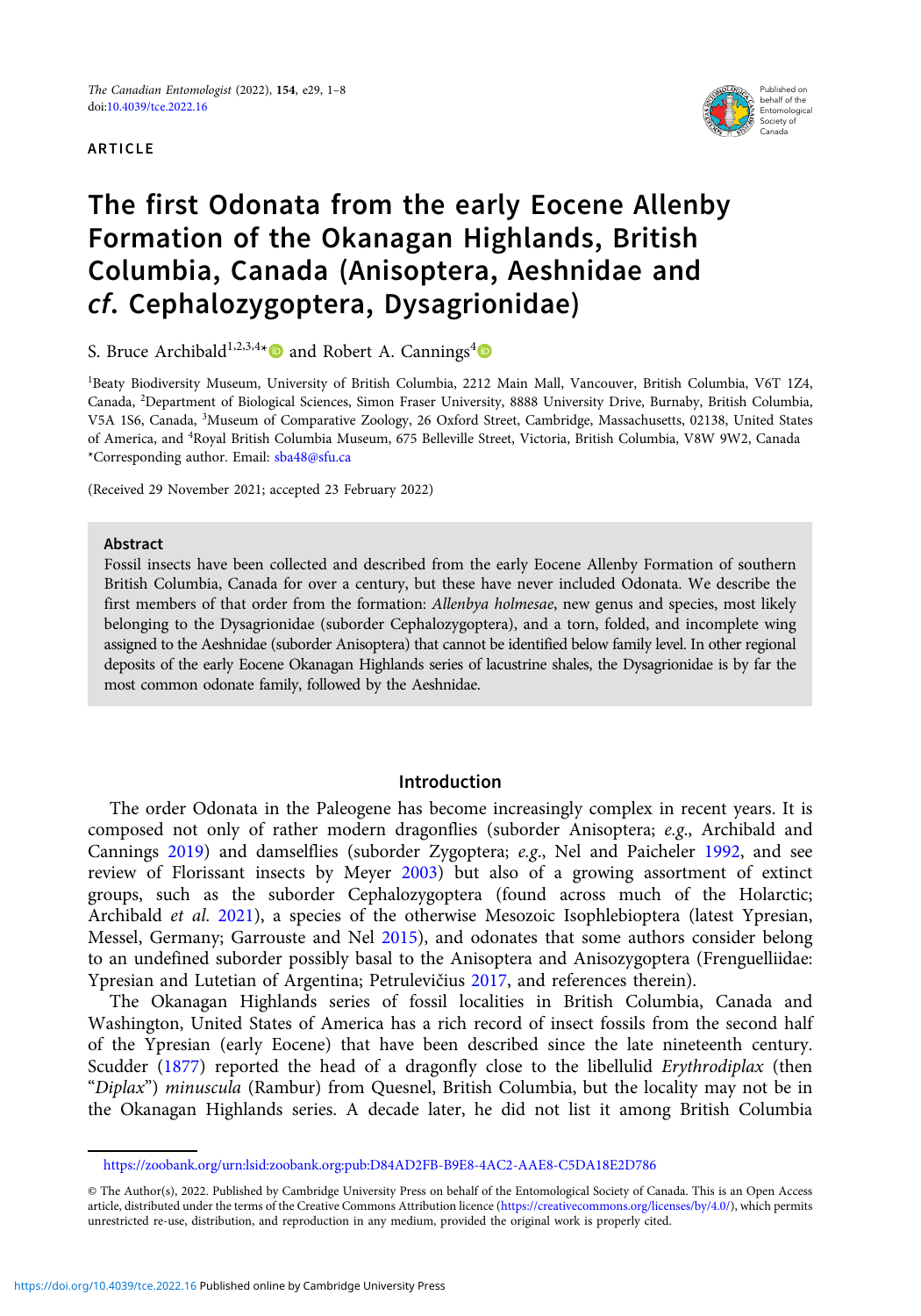#### ARTICLE



# The first Odonata from the early Eocene Allenby Formation of the Okanagan Highlands, British Columbia, Canada (Anisoptera, Aeshnidae and cf. Cephalozygoptera, Dysagrionidae)

S. Bruce Archibald<sup>1,2,3,4\*</sup><sup>0</sup> and Robert A. Cannings<sup>4</sup>

1 Beaty Biodiversity Museum, University of British Columbia, 2212 Main Mall, Vancouver, British Columbia, V6T 1Z4, Canada, <sup>2</sup> Department of Biological Sciences, Simon Fraser University, 8888 University Drive, Burnaby, British Columbia, V5A 1S6, Canada, <sup>3</sup>Museum of Comparative Zoology, 26 Oxford Street, Cambridge, Massachusetts, 02138, United States of America, and <sup>4</sup> Royal British Columbia Museum, 675 Belleville Street, Victoria, British Columbia, V8W 9W2, Canada \*Corresponding author. Email: [sba48@sfu.ca](mailto:sba48@sfu.ca)

(Received 29 November 2021; accepted 23 February 2022)

#### Abstract

Fossil insects have been collected and described from the early Eocene Allenby Formation of southern British Columbia, Canada for over a century, but these have never included Odonata. We describe the first members of that order from the formation: Allenbya holmesae, new genus and species, most likely belonging to the Dysagrionidae (suborder Cephalozygoptera), and a torn, folded, and incomplete wing assigned to the Aeshnidae (suborder Anisoptera) that cannot be identified below family level. In other regional deposits of the early Eocene Okanagan Highlands series of lacustrine shales, the Dysagrionidae is by far the most common odonate family, followed by the Aeshnidae.

## Introduction

The order Odonata in the Paleogene has become increasingly complex in recent years. It is composed not only of rather modern dragonflies (suborder Anisoptera; e.g., Archibald and Cannings [2019\)](#page-6-0) and damselflies (suborder Zygoptera; e.g., Nel and Paicheler [1992](#page-7-0), and see review of Florissant insects by Meyer [2003](#page-7-0)) but also of a growing assortment of extinct groups, such as the suborder Cephalozygoptera (found across much of the Holarctic; Archibald *et al.* [2021](#page-6-0)), a species of the otherwise Mesozoic Isophlebioptera (latest Ypresian, Messel, Germany; Garrouste and Nel [2015\)](#page-6-0), and odonates that some authors consider belong to an undefined suborder possibly basal to the Anisoptera and Anisozygoptera (Frenguelliidae: Ypresian and Lutetian of Argentina; Petrulevičius [2017,](#page-7-0) and references therein).

The Okanagan Highlands series of fossil localities in British Columbia, Canada and Washington, United States of America has a rich record of insect fossils from the second half of the Ypresian (early Eocene) that have been described since the late nineteenth century. Scudder ([1877](#page-7-0)) reported the head of a dragonfly close to the libellulid *Erythrodiplax* (then "Diplax") minuscula (Rambur) from Quesnel, British Columbia, but the locality may not be in the Okanagan Highlands series. A decade later, he did not list it among British Columbia

<https://zoobank.org/urn:lsid:zoobank.org:pub:D84AD2FB-B9E8-4AC2-AAE8-C5DA18E2D786>

<sup>©</sup> The Author(s), 2022. Published by Cambridge University Press on behalf of the Entomological Society of Canada. This is an Open Access article, distributed under the terms of the Creative Commons Attribution licence [\(https://creativecommons.org/licenses/by/4.0/\)](https://creativecommons.org/licenses/by/4.0/), which permits unrestricted re-use, distribution, and reproduction in any medium, provided the original work is properly cited.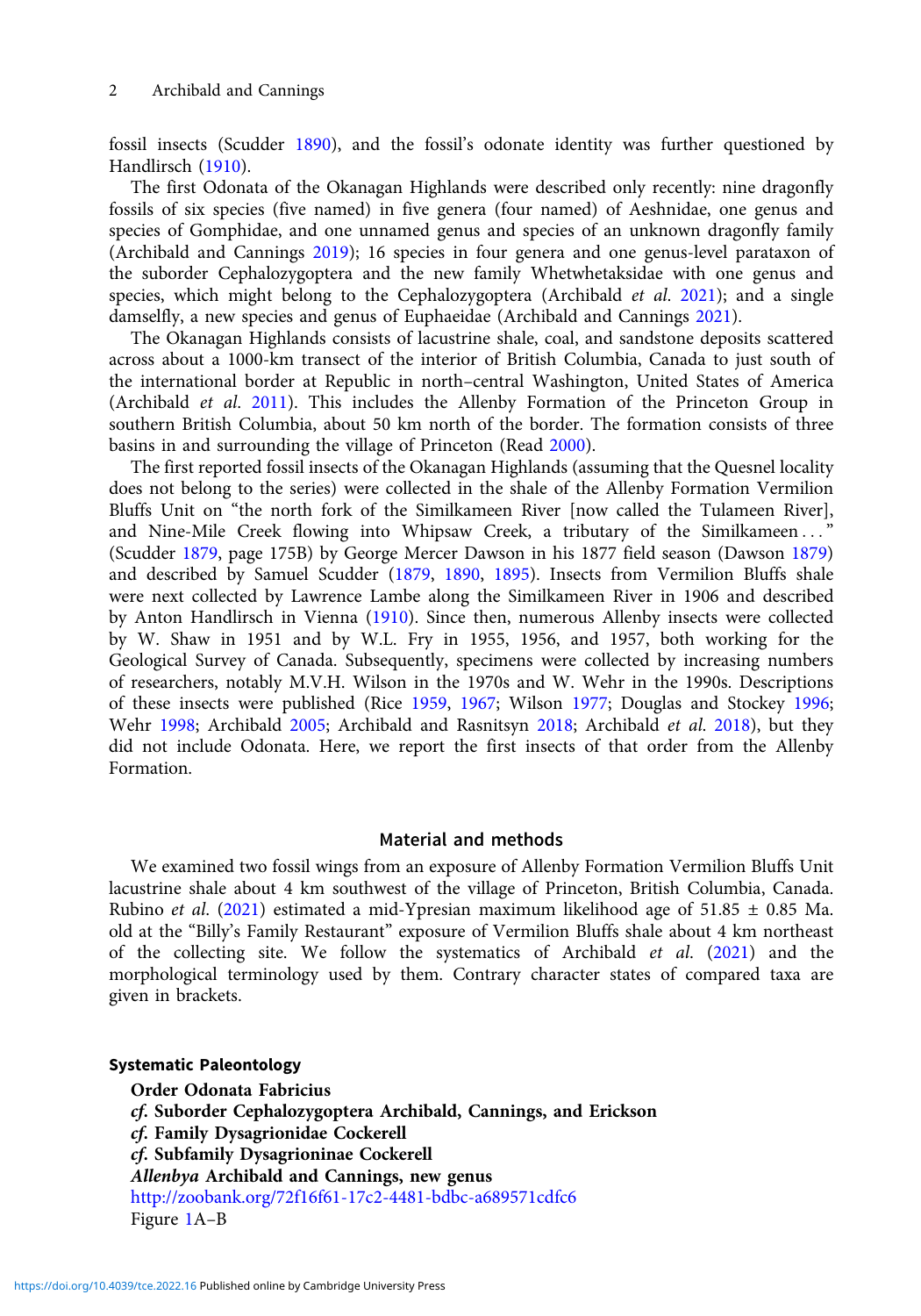fossil insects (Scudder [1890](#page-7-0)), and the fossil's odonate identity was further questioned by Handlirsch [\(1910\)](#page-7-0).

The first Odonata of the Okanagan Highlands were described only recently: nine dragonfly fossils of six species (five named) in five genera (four named) of Aeshnidae, one genus and species of Gomphidae, and one unnamed genus and species of an unknown dragonfly family (Archibald and Cannings [2019\)](#page-6-0); 16 species in four genera and one genus-level parataxon of the suborder Cephalozygoptera and the new family Whetwhetaksidae with one genus and species, which might belong to the Cephalozygoptera (Archibald *et al.* [2021](#page-6-0)); and a single damselfly, a new species and genus of Euphaeidae (Archibald and Cannings [2021](#page-6-0)).

The Okanagan Highlands consists of lacustrine shale, coal, and sandstone deposits scattered across about a 1000-km transect of the interior of British Columbia, Canada to just south of the international border at Republic in north–central Washington, United States of America (Archibald et al. [2011](#page-6-0)). This includes the Allenby Formation of the Princeton Group in southern British Columbia, about 50 km north of the border. The formation consists of three basins in and surrounding the village of Princeton (Read [2000](#page-7-0)).

The first reported fossil insects of the Okanagan Highlands (assuming that the Quesnel locality does not belong to the series) were collected in the shale of the Allenby Formation Vermilion Bluffs Unit on "the north fork of the Similkameen River [now called the Tulameen River], and Nine-Mile Creek flowing into Whipsaw Creek, a tributary of the Similkameen ..." (Scudder [1879](#page-7-0), page 175B) by George Mercer Dawson in his 1877 field season (Dawson [1879\)](#page-6-0) and described by Samuel Scudder ([1879,](#page-7-0) [1890,](#page-7-0) [1895\)](#page-7-0). Insects from Vermilion Bluffs shale were next collected by Lawrence Lambe along the Similkameen River in 1906 and described by Anton Handlirsch in Vienna ([1910](#page-7-0)). Since then, numerous Allenby insects were collected by W. Shaw in 1951 and by W.L. Fry in 1955, 1956, and 1957, both working for the Geological Survey of Canada. Subsequently, specimens were collected by increasing numbers of researchers, notably M.V.H. Wilson in the 1970s and W. Wehr in the 1990s. Descriptions of these insects were published (Rice [1959,](#page-7-0) [1967](#page-7-0); Wilson [1977;](#page-7-0) Douglas and Stockey [1996;](#page-6-0) Wehr [1998;](#page-7-0) Archibald [2005](#page-6-0); Archibald and Rasnitsyn [2018;](#page-6-0) Archibald et al. [2018\)](#page-6-0), but they did not include Odonata. Here, we report the first insects of that order from the Allenby Formation.

## Material and methods

We examined two fossil wings from an exposure of Allenby Formation Vermilion Bluffs Unit lacustrine shale about 4 km southwest of the village of Princeton, British Columbia, Canada. Rubino et al. [\(2021](#page-7-0)) estimated a mid-Ypresian maximum likelihood age of 51.85  $\pm$  0.85 Ma. old at the "Billy's Family Restaurant" exposure of Vermilion Bluffs shale about 4 km northeast of the collecting site. We follow the systematics of Archibald et al. [\(2021\)](#page-6-0) and the morphological terminology used by them. Contrary character states of compared taxa are given in brackets.

Systematic Paleontology Order Odonata Fabricius cf. Suborder Cephalozygoptera Archibald, Cannings, and Erickson cf. Family Dysagrionidae Cockerell cf. Subfamily Dysagrioninae Cockerell Allenbya Archibald and Cannings, new genus <http://zoobank.org/72f16f61-17c2-4481-bdbc-a689571cdfc6> Figure [1A](#page-3-0)–B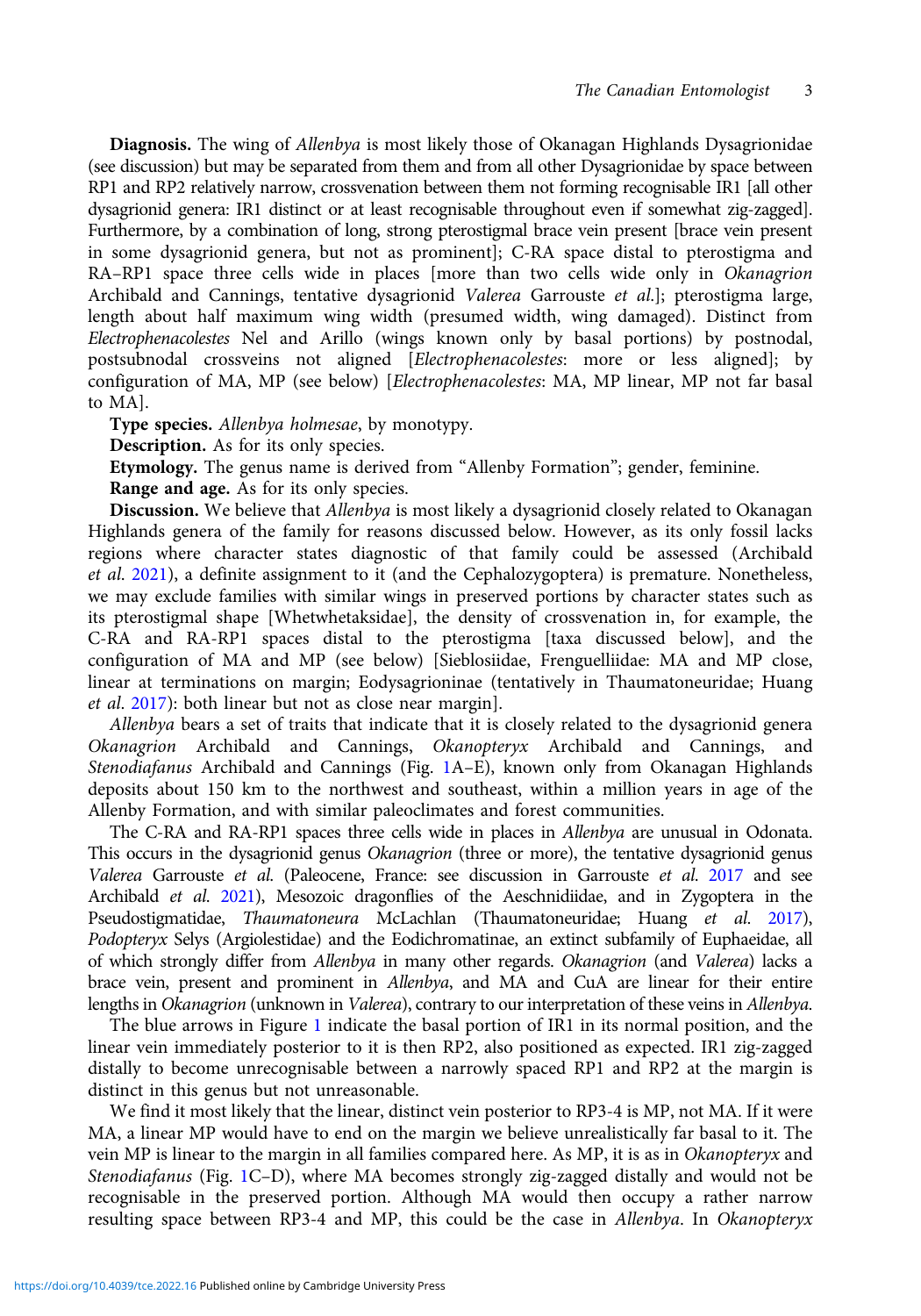Diagnosis. The wing of Allenbya is most likely those of Okanagan Highlands Dysagrionidae (see discussion) but may be separated from them and from all other Dysagrionidae by space between RP1 and RP2 relatively narrow, crossvenation between them not forming recognisable IR1 [all other dysagrionid genera: IR1 distinct or at least recognisable throughout even if somewhat zig-zagged]. Furthermore, by a combination of long, strong pterostigmal brace vein present [brace vein present in some dysagrionid genera, but not as prominent]; C-RA space distal to pterostigma and RA–RP1 space three cells wide in places [more than two cells wide only in Okanagrion Archibald and Cannings, tentative dysagrionid Valerea Garrouste et al.]; pterostigma large, length about half maximum wing width (presumed width, wing damaged). Distinct from Electrophenacolestes Nel and Arillo (wings known only by basal portions) by postnodal, postsubnodal crossveins not aligned [Electrophenacolestes: more or less aligned]; by configuration of MA, MP (see below) [Electrophenacolestes: MA, MP linear, MP not far basal to MA].

Type species. Allenbya holmesae, by monotypy.

Description. As for its only species.

Etymology. The genus name is derived from "Allenby Formation"; gender, feminine.

Range and age. As for its only species.

Discussion. We believe that Allenbya is most likely a dysagrionid closely related to Okanagan Highlands genera of the family for reasons discussed below. However, as its only fossil lacks regions where character states diagnostic of that family could be assessed (Archibald et al. [2021\)](#page-6-0), a definite assignment to it (and the Cephalozygoptera) is premature. Nonetheless, we may exclude families with similar wings in preserved portions by character states such as its pterostigmal shape [Whetwhetaksidae], the density of crossvenation in, for example, the C-RA and RA-RP1 spaces distal to the pterostigma [taxa discussed below], and the configuration of MA and MP (see below) [Sieblosiidae, Frenguelliidae: MA and MP close, linear at terminations on margin; Eodysagrioninae (tentatively in Thaumatoneuridae; Huang et al. [2017](#page-7-0)): both linear but not as close near margin].

Allenbya bears a set of traits that indicate that it is closely related to the dysagrionid genera Okanagrion Archibald and Cannings, Okanopteryx Archibald and Cannings, and Stenodiafanus Archibald and Cannings (Fig. [1](#page-3-0)A–E), known only from Okanagan Highlands deposits about 150 km to the northwest and southeast, within a million years in age of the Allenby Formation, and with similar paleoclimates and forest communities.

The C-RA and RA-RP1 spaces three cells wide in places in Allenbya are unusual in Odonata. This occurs in the dysagrionid genus Okanagrion (three or more), the tentative dysagrionid genus Valerea Garrouste et al. (Paleocene, France: see discussion in Garrouste et al. [2017](#page-7-0) and see Archibald et al. [2021\)](#page-6-0), Mesozoic dragonflies of the Aeschnidiidae, and in Zygoptera in the Pseudostigmatidae, Thaumatoneura McLachlan (Thaumatoneuridae; Huang et al. [2017](#page-7-0)), Podopteryx Selys (Argiolestidae) and the Eodichromatinae, an extinct subfamily of Euphaeidae, all of which strongly differ from Allenbya in many other regards. Okanagrion (and Valerea) lacks a brace vein, present and prominent in Allenbya, and MA and CuA are linear for their entire lengths in Okanagrion (unknown in Valerea), contrary to our interpretation of these veins in Allenbya.

The blue arrows in Figure [1](#page-3-0) indicate the basal portion of IR1 in its normal position, and the linear vein immediately posterior to it is then RP2, also positioned as expected. IR1 zig-zagged distally to become unrecognisable between a narrowly spaced RP1 and RP2 at the margin is distinct in this genus but not unreasonable.

We find it most likely that the linear, distinct vein posterior to RP3-4 is MP, not MA. If it were MA, a linear MP would have to end on the margin we believe unrealistically far basal to it. The vein MP is linear to the margin in all families compared here. As MP, it is as in Okanopteryx and Stenodiafanus (Fig. [1](#page-3-0)C–D), where MA becomes strongly zig-zagged distally and would not be recognisable in the preserved portion. Although MA would then occupy a rather narrow resulting space between RP3-4 and MP, this could be the case in Allenbya. In Okanopteryx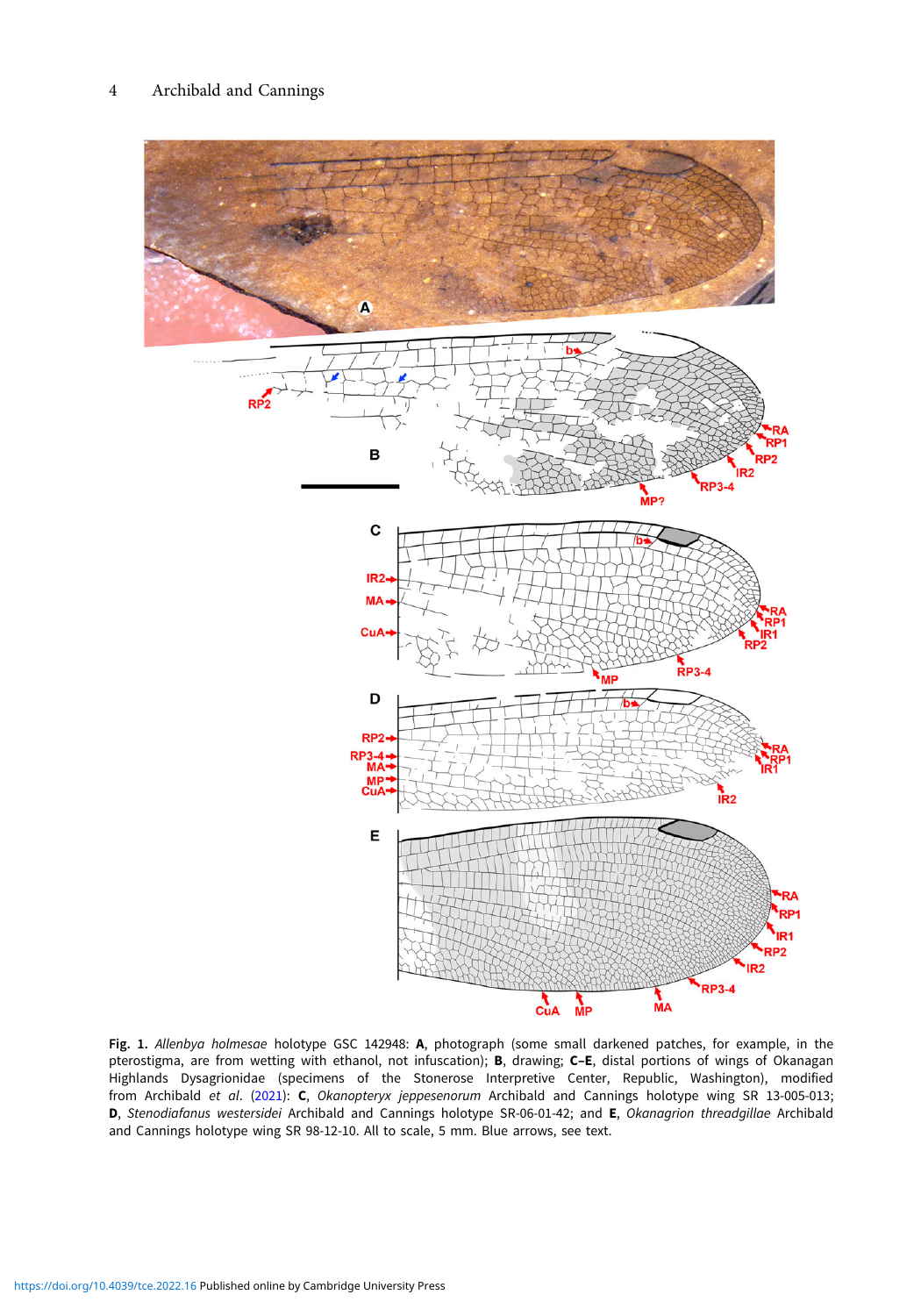<span id="page-3-0"></span>

Fig. 1. Allenbya holmesae holotype GSC 142948: A, photograph (some small darkened patches, for example, in the pterostigma, are from wetting with ethanol, not infuscation); B, drawing; C–E, distal portions of wings of Okanagan Highlands Dysagrionidae (specimens of the Stonerose Interpretive Center, Republic, Washington), modified from Archibald et al. [\(2021\)](#page-6-0): C, Okanopteryx jeppesenorum Archibald and Cannings holotype wing SR 13-005-013; D, Stenodiafanus westersidei Archibald and Cannings holotype SR-06-01-42; and E, Okanagrion threadgillae Archibald and Cannings holotype wing SR 98-12-10. All to scale, 5 mm. Blue arrows, see text.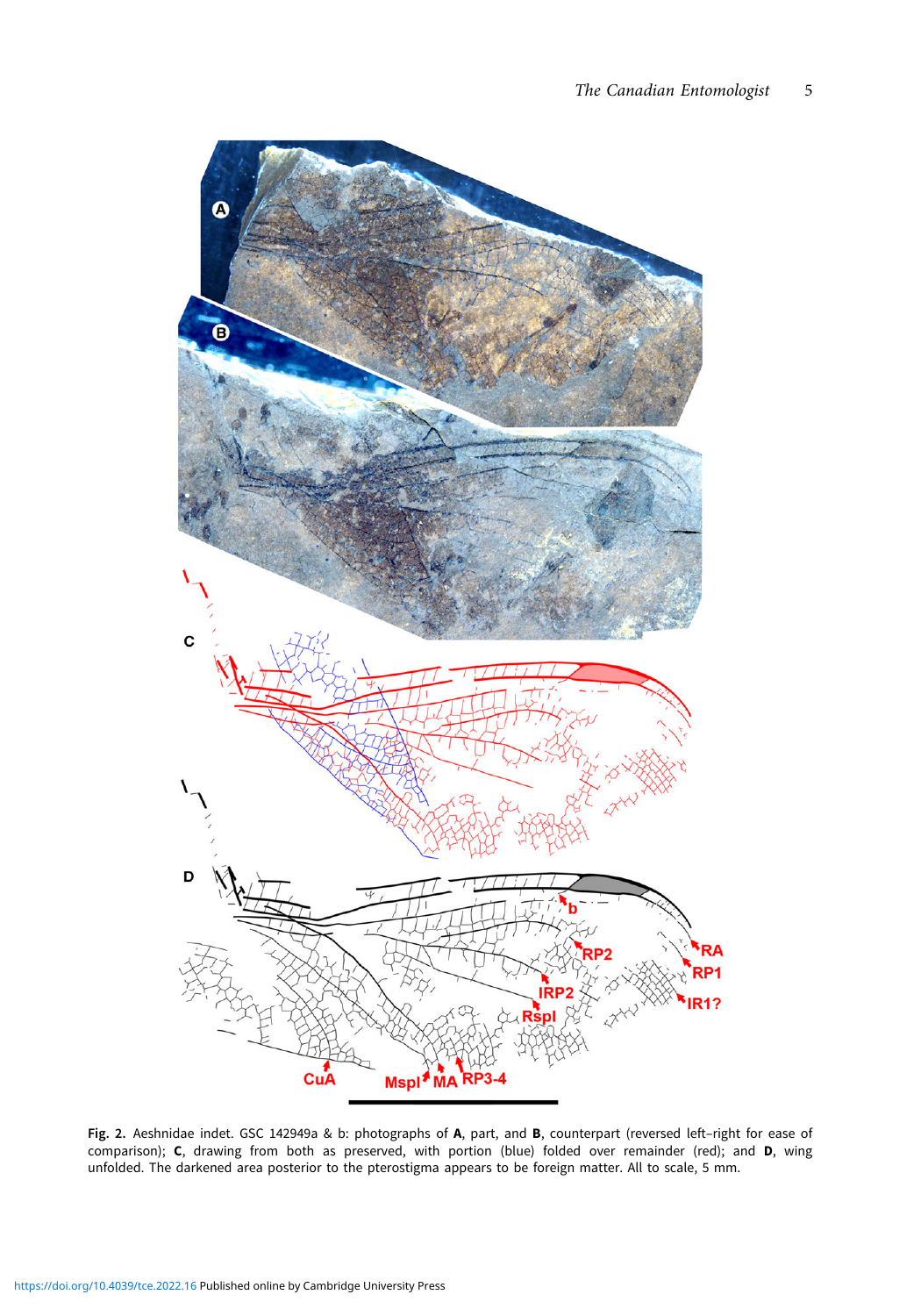<span id="page-4-0"></span>

Fig. 2. Aeshnidae indet. GSC 142949a & b: photographs of A, part, and B, counterpart (reversed left-right for ease of comparison); C, drawing from both as preserved, with portion (blue) folded over remainder (red); and D, wing unfolded. The darkened area posterior to the pterostigma appears to be foreign matter. All to scale, 5 mm.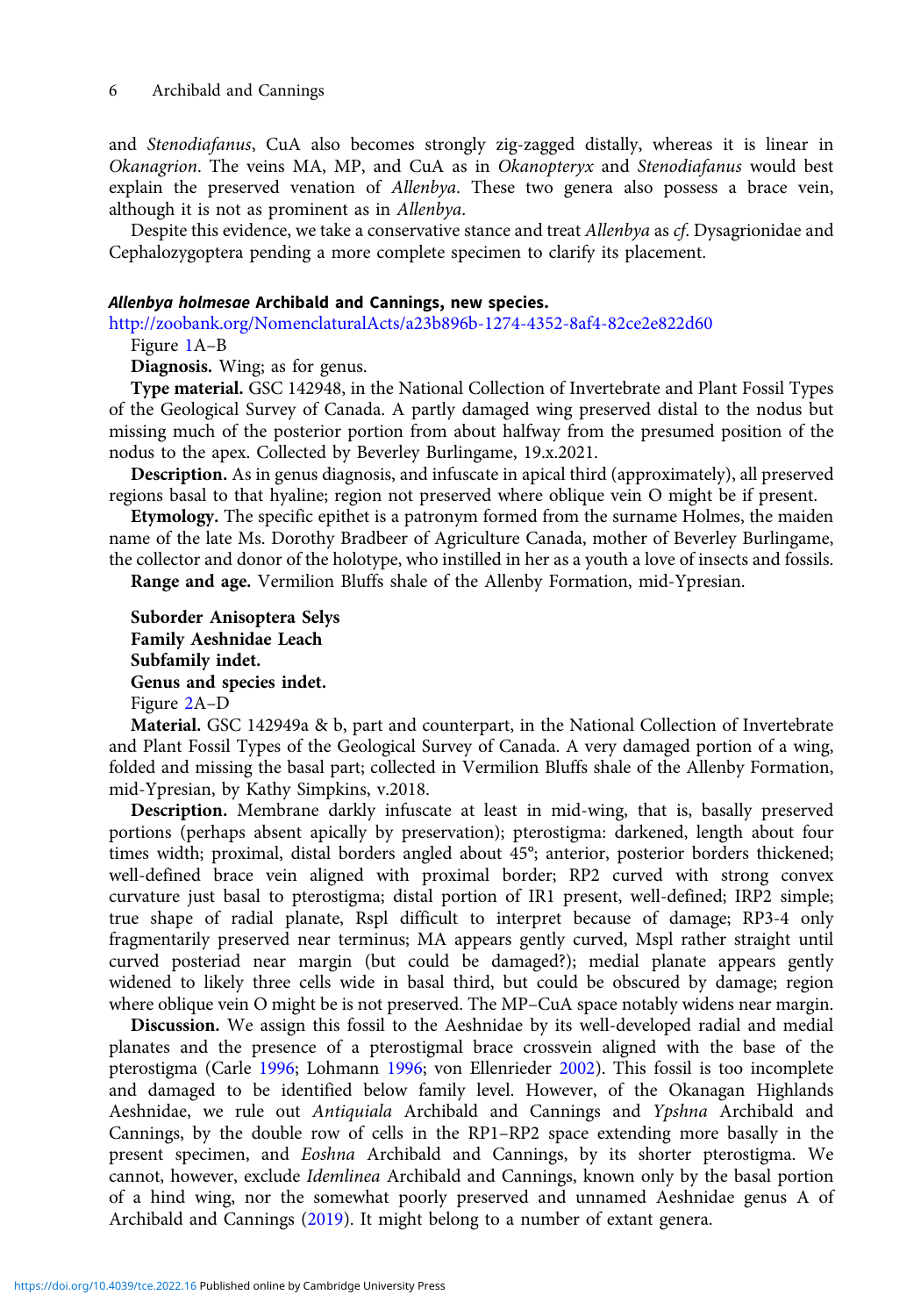#### 6 Archibald and Cannings

and Stenodiafanus, CuA also becomes strongly zig-zagged distally, whereas it is linear in Okanagrion. The veins MA, MP, and CuA as in Okanopteryx and Stenodiafanus would best explain the preserved venation of Allenbya. These two genera also possess a brace vein, although it is not as prominent as in Allenbya.

Despite this evidence, we take a conservative stance and treat Allenbya as cf. Dysagrionidae and Cephalozygoptera pending a more complete specimen to clarify its placement.

## Allenbya holmesae Archibald and Cannings, new species.

<http://zoobank.org/NomenclaturalActs/a23b896b-1274-4352-8af4-82ce2e822d60>

Figure [1A](#page-3-0)–B

Diagnosis. Wing; as for genus.

Type material. GSC 142948, in the National Collection of Invertebrate and Plant Fossil Types of the Geological Survey of Canada. A partly damaged wing preserved distal to the nodus but missing much of the posterior portion from about halfway from the presumed position of the nodus to the apex. Collected by Beverley Burlingame, 19.x.2021.

Description. As in genus diagnosis, and infuscate in apical third (approximately), all preserved regions basal to that hyaline; region not preserved where oblique vein O might be if present.

Etymology. The specific epithet is a patronym formed from the surname Holmes, the maiden name of the late Ms. Dorothy Bradbeer of Agriculture Canada, mother of Beverley Burlingame, the collector and donor of the holotype, who instilled in her as a youth a love of insects and fossils.

Range and age. Vermilion Bluffs shale of the Allenby Formation, mid-Ypresian.

Suborder Anisoptera Selys Family Aeshnidae Leach Subfamily indet. Genus and species indet. Figure [2A](#page-4-0)–D

Material. GSC 142949a & b, part and counterpart, in the National Collection of Invertebrate and Plant Fossil Types of the Geological Survey of Canada. A very damaged portion of a wing, folded and missing the basal part; collected in Vermilion Bluffs shale of the Allenby Formation, mid-Ypresian, by Kathy Simpkins, v.2018.

Description. Membrane darkly infuscate at least in mid-wing, that is, basally preserved portions (perhaps absent apically by preservation); pterostigma: darkened, length about four times width; proximal, distal borders angled about 45°; anterior, posterior borders thickened; well-defined brace vein aligned with proximal border; RP2 curved with strong convex curvature just basal to pterostigma; distal portion of IR1 present, well-defined; IRP2 simple; true shape of radial planate, Rspl difficult to interpret because of damage; RP3-4 only fragmentarily preserved near terminus; MA appears gently curved, Mspl rather straight until curved posteriad near margin (but could be damaged?); medial planate appears gently widened to likely three cells wide in basal third, but could be obscured by damage; region where oblique vein O might be is not preserved. The MP–CuA space notably widens near margin.

Discussion. We assign this fossil to the Aeshnidae by its well-developed radial and medial planates and the presence of a pterostigmal brace crossvein aligned with the base of the pterostigma (Carle [1996](#page-6-0); Lohmann [1996](#page-7-0); von Ellenrieder [2002\)](#page-6-0). This fossil is too incomplete and damaged to be identified below family level. However, of the Okanagan Highlands Aeshnidae, we rule out Antiquiala Archibald and Cannings and Ypshna Archibald and Cannings, by the double row of cells in the RP1–RP2 space extending more basally in the present specimen, and Eoshna Archibald and Cannings, by its shorter pterostigma. We cannot, however, exclude Idemlinea Archibald and Cannings, known only by the basal portion of a hind wing, nor the somewhat poorly preserved and unnamed Aeshnidae genus A of Archibald and Cannings [\(2019\)](#page-6-0). It might belong to a number of extant genera.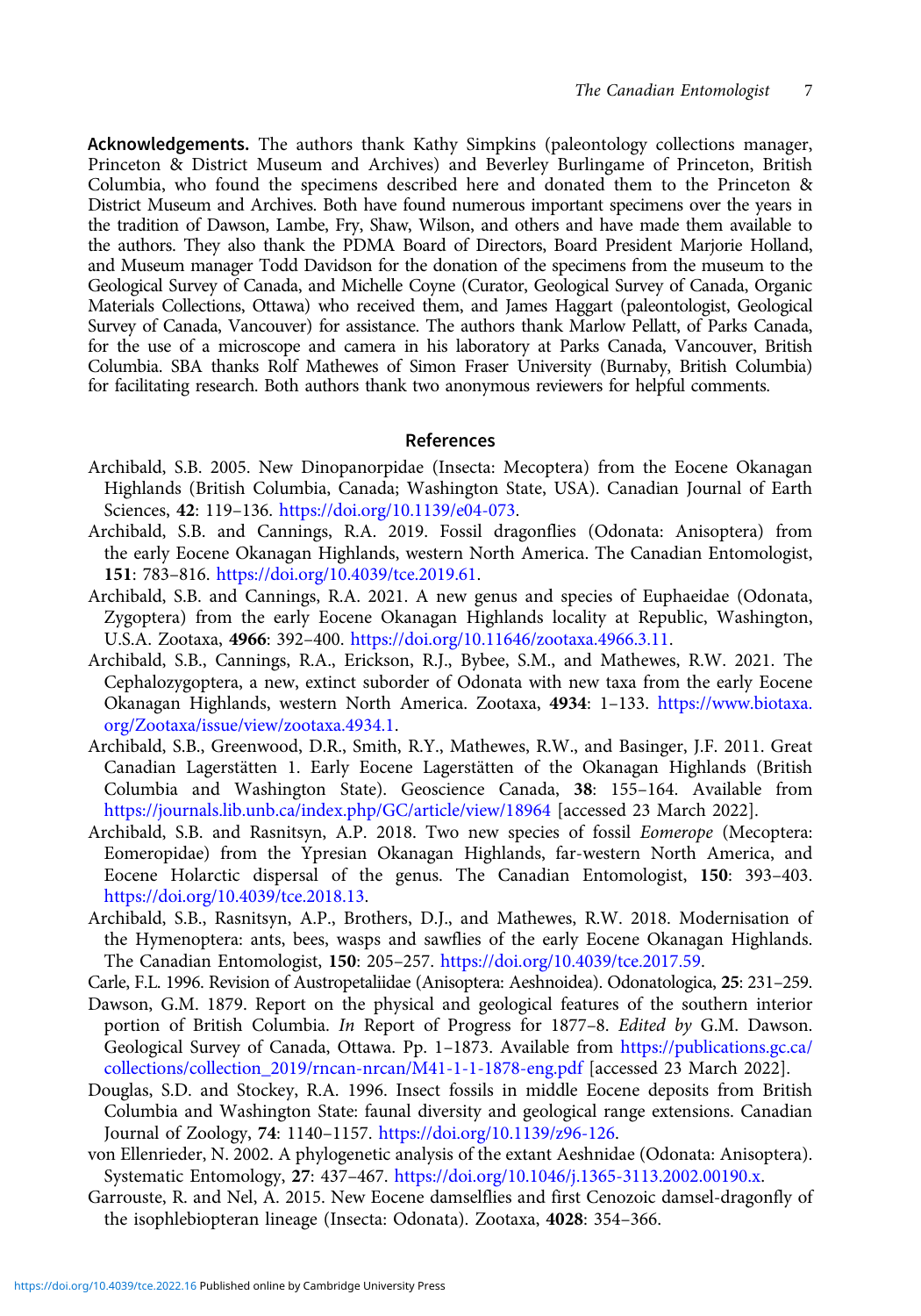<span id="page-6-0"></span>Acknowledgements. The authors thank Kathy Simpkins (paleontology collections manager, Princeton & District Museum and Archives) and Beverley Burlingame of Princeton, British Columbia, who found the specimens described here and donated them to the Princeton & District Museum and Archives. Both have found numerous important specimens over the years in the tradition of Dawson, Lambe, Fry, Shaw, Wilson, and others and have made them available to the authors. They also thank the PDMA Board of Directors, Board President Marjorie Holland, and Museum manager Todd Davidson for the donation of the specimens from the museum to the Geological Survey of Canada, and Michelle Coyne (Curator, Geological Survey of Canada, Organic Materials Collections, Ottawa) who received them, and James Haggart (paleontologist, Geological Survey of Canada, Vancouver) for assistance. The authors thank Marlow Pellatt, of Parks Canada, for the use of a microscope and camera in his laboratory at Parks Canada, Vancouver, British Columbia. SBA thanks Rolf Mathewes of Simon Fraser University (Burnaby, British Columbia) for facilitating research. Both authors thank two anonymous reviewers for helpful comments.

#### References

- Archibald, S.B. 2005. New Dinopanorpidae (Insecta: Mecoptera) from the Eocene Okanagan Highlands (British Columbia, Canada; Washington State, USA). Canadian Journal of Earth Sciences, 42: 119–136. <https://doi.org/10.1139/e04-073>.
- Archibald, S.B. and Cannings, R.A. 2019. Fossil dragonflies (Odonata: Anisoptera) from the early Eocene Okanagan Highlands, western North America. The Canadian Entomologist, 151: 783–816. [https://doi.org/10.4039/tce.2019.61.](https://doi.org/10.4039/tce.2019.61)
- Archibald, S.B. and Cannings, R.A. 2021. A new genus and species of Euphaeidae (Odonata, Zygoptera) from the early Eocene Okanagan Highlands locality at Republic, Washington, U.S.A. Zootaxa, 4966: 392–400. <https://doi.org/10.11646/zootaxa.4966.3.11>.
- Archibald, S.B., Cannings, R.A., Erickson, R.J., Bybee, S.M., and Mathewes, R.W. 2021. The Cephalozygoptera, a new, extinct suborder of Odonata with new taxa from the early Eocene Okanagan Highlands, western North America. Zootaxa, 4934: 1–133. [https://www.biotaxa.](https://www.biotaxa.org/Zootaxa/issue/view/zootaxa.4934.1) [org/Zootaxa/issue/view/zootaxa.4934.1.](https://www.biotaxa.org/Zootaxa/issue/view/zootaxa.4934.1)
- Archibald, S.B., Greenwood, D.R., Smith, R.Y., Mathewes, R.W., and Basinger, J.F. 2011. Great Canadian Lagerstätten 1. Early Eocene Lagerstätten of the Okanagan Highlands (British Columbia and Washington State). Geoscience Canada, 38: 155–164. Available from <https://journals.lib.unb.ca/index.php/GC/article/view/18964> [accessed 23 March 2022].
- Archibald, S.B. and Rasnitsyn, A.P. 2018. Two new species of fossil Eomerope (Mecoptera: Eomeropidae) from the Ypresian Okanagan Highlands, far-western North America, and Eocene Holarctic dispersal of the genus. The Canadian Entomologist, 150: 393–403. [https://doi.org/10.4039/tce.2018.13.](https://doi.org/10.4039/tce.2018.13)
- Archibald, S.B., Rasnitsyn, A.P., Brothers, D.J., and Mathewes, R.W. 2018. Modernisation of the Hymenoptera: ants, bees, wasps and sawflies of the early Eocene Okanagan Highlands. The Canadian Entomologist, 150: 205–257. [https://doi.org/10.4039/tce.2017.59.](https://doi.org/10.4039/tce.2017.59)
- Carle, F.L. 1996. Revision of Austropetaliidae (Anisoptera: Aeshnoidea). Odonatologica, 25: 231–259.
- Dawson, G.M. 1879. Report on the physical and geological features of the southern interior portion of British Columbia. In Report of Progress for 1877-8. Edited by G.M. Dawson. Geological Survey of Canada, Ottawa. Pp. 1–1873. Available from [https://publications.gc.ca/](https://publications.gc.ca/collections/collection_2019/rncan-nrcan/M41-1-1-1878-eng.pdf) [collections/collection\\_2019/rncan-nrcan/M41-1-1-1878-eng.pdf](https://publications.gc.ca/collections/collection_2019/rncan-nrcan/M41-1-1-1878-eng.pdf) [accessed 23 March 2022].
- Douglas, S.D. and Stockey, R.A. 1996. Insect fossils in middle Eocene deposits from British Columbia and Washington State: faunal diversity and geological range extensions. Canadian Journal of Zoology, 74: 1140–1157. [https://doi.org/10.1139/z96-126.](https://doi.org/10.1139/z96-126)
- von Ellenrieder, N. 2002. A phylogenetic analysis of the extant Aeshnidae (Odonata: Anisoptera). Systematic Entomology, 27: 437–467. <https://doi.org/10.1046/j.1365-3113.2002.00190.x>.
- Garrouste, R. and Nel, A. 2015. New Eocene damselflies and first Cenozoic damsel-dragonfly of the isophlebiopteran lineage (Insecta: Odonata). Zootaxa, 4028: 354–366.